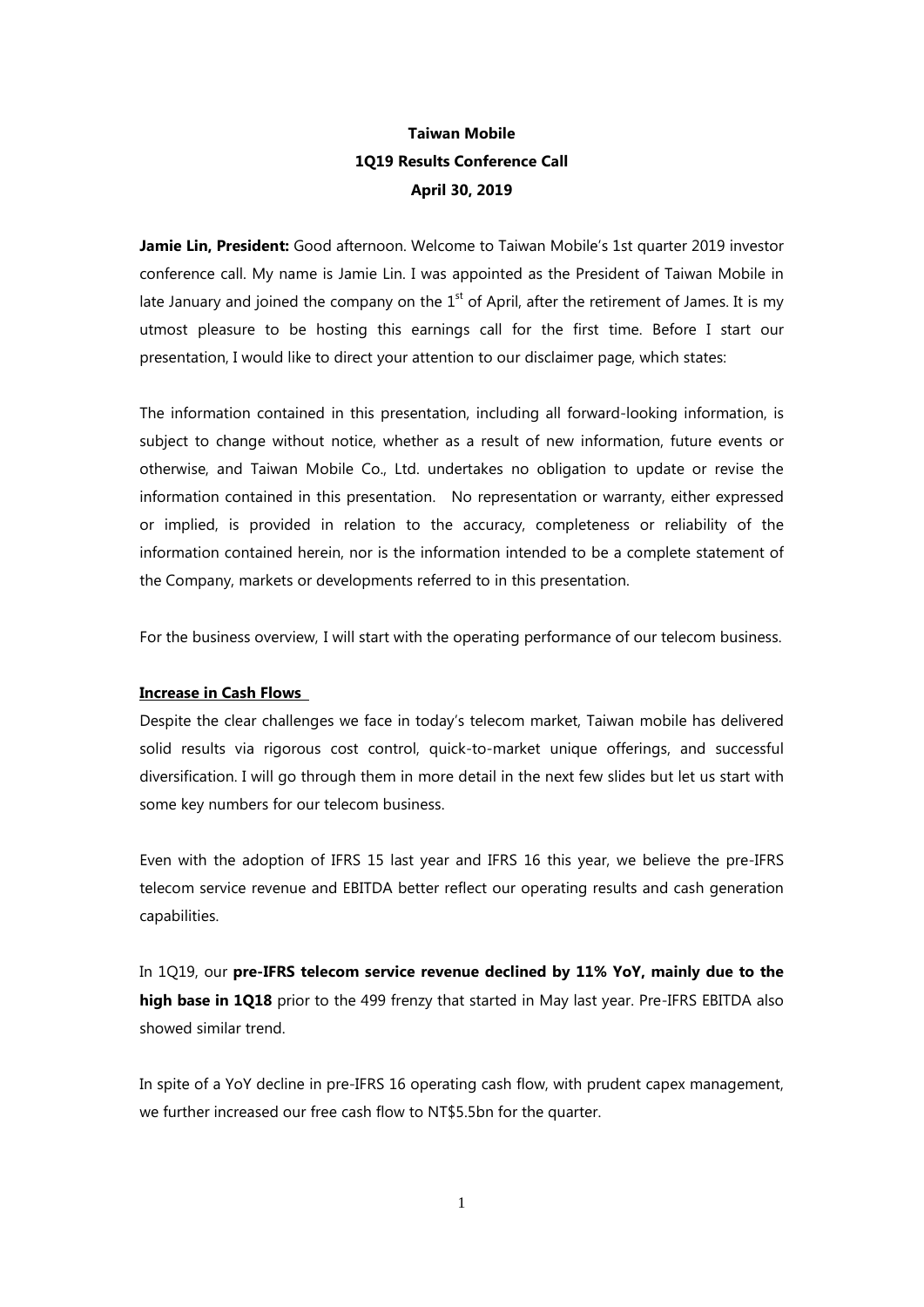# **Taiwan Mobile 1Q19 Results Conference Call April 30, 2019**

**Jamie Lin, President:** Good afternoon. Welcome to Taiwan Mobile's 1st quarter 2019 investor conference call. My name is Jamie Lin. I was appointed as the President of Taiwan Mobile in late January and joined the company on the  $1<sup>st</sup>$  of April, after the retirement of James. It is my utmost pleasure to be hosting this earnings call for the first time. Before I start our presentation, I would like to direct your attention to our disclaimer page, which states:

The information contained in this presentation, including all forward-looking information, is subject to change without notice, whether as a result of new information, future events or otherwise, and Taiwan Mobile Co., Ltd. undertakes no obligation to update or revise the information contained in this presentation. No representation or warranty, either expressed or implied, is provided in relation to the accuracy, completeness or reliability of the information contained herein, nor is the information intended to be a complete statement of the Company, markets or developments referred to in this presentation.

For the business overview, I will start with the operating performance of our telecom business.

## **Increase in Cash Flows**

Despite the clear challenges we face in today's telecom market, Taiwan mobile has delivered solid results via rigorous cost control, quick-to-market unique offerings, and successful diversification. I will go through them in more detail in the next few slides but let us start with some key numbers for our telecom business.

Even with the adoption of IFRS 15 last year and IFRS 16 this year, we believe the pre-IFRS telecom service revenue and EBITDA better reflect our operating results and cash generation capabilities.

In 1Q19, our **pre-IFRS telecom service revenue declined by 11% YoY, mainly due to the high base in 1Q18** prior to the 499 frenzy that started in May last year. Pre-IFRS EBITDA also showed similar trend.

In spite of a YoY decline in pre-IFRS 16 operating cash flow, with prudent capex management, we further increased our free cash flow to NT\$5.5bn for the quarter.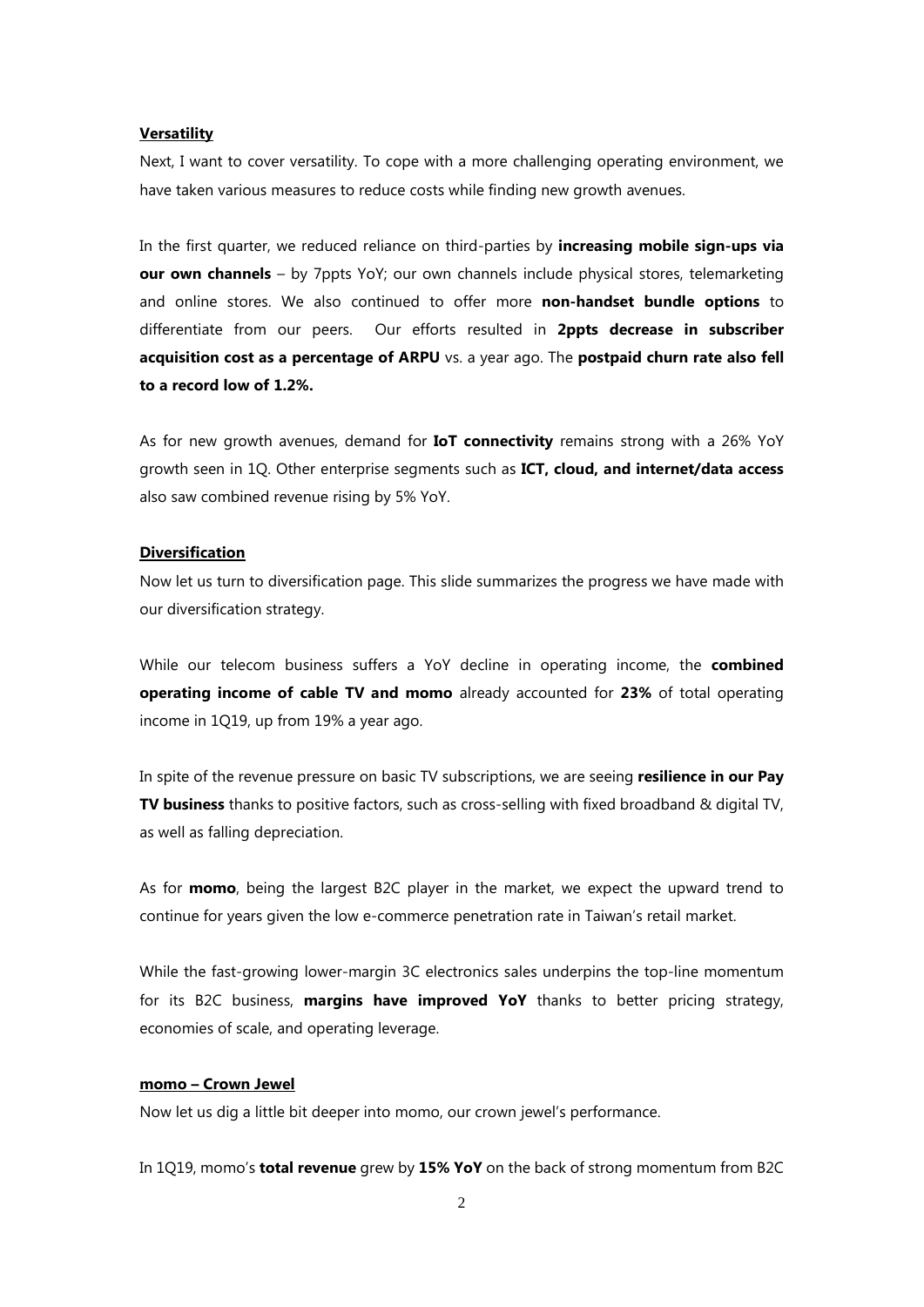#### **Versatility**

Next, I want to cover versatility. To cope with a more challenging operating environment, we have taken various measures to reduce costs while finding new growth avenues.

In the first quarter, we reduced reliance on third-parties by **increasing mobile sign-ups via our own channels** – by 7ppts YoY; our own channels include physical stores, telemarketing and online stores. We also continued to offer more **non-handset bundle options** to differentiate from our peers. Our efforts resulted in **2ppts decrease in subscriber acquisition cost as a percentage of ARPU** vs. a year ago. The **postpaid churn rate also fell to a record low of 1.2%.**

As for new growth avenues, demand for **IoT connectivity** remains strong with a 26% YoY growth seen in 1Q. Other enterprise segments such as **ICT, cloud, and internet/data access** also saw combined revenue rising by 5% YoY.

#### **Diversification**

Now let us turn to diversification page. This slide summarizes the progress we have made with our diversification strategy.

While our telecom business suffers a YoY decline in operating income, the **combined operating income of cable TV and momo** already accounted for **23%** of total operating income in 1Q19, up from 19% a year ago.

In spite of the revenue pressure on basic TV subscriptions, we are seeing **resilience in our Pay TV business** thanks to positive factors, such as cross-selling with fixed broadband & digital TV, as well as falling depreciation.

As for **momo**, being the largest B2C player in the market, we expect the upward trend to continue for years given the low e-commerce penetration rate in Taiwan's retail market.

While the fast-growing lower-margin 3C electronics sales underpins the top-line momentum for its B2C business, **margins have improved YoY** thanks to better pricing strategy, economies of scale, and operating leverage.

### **momo – Crown Jewel**

Now let us dig a little bit deeper into momo, our crown jewel's performance.

In 1Q19, momo's **total revenue** grew by **15% YoY** on the back of strong momentum from B2C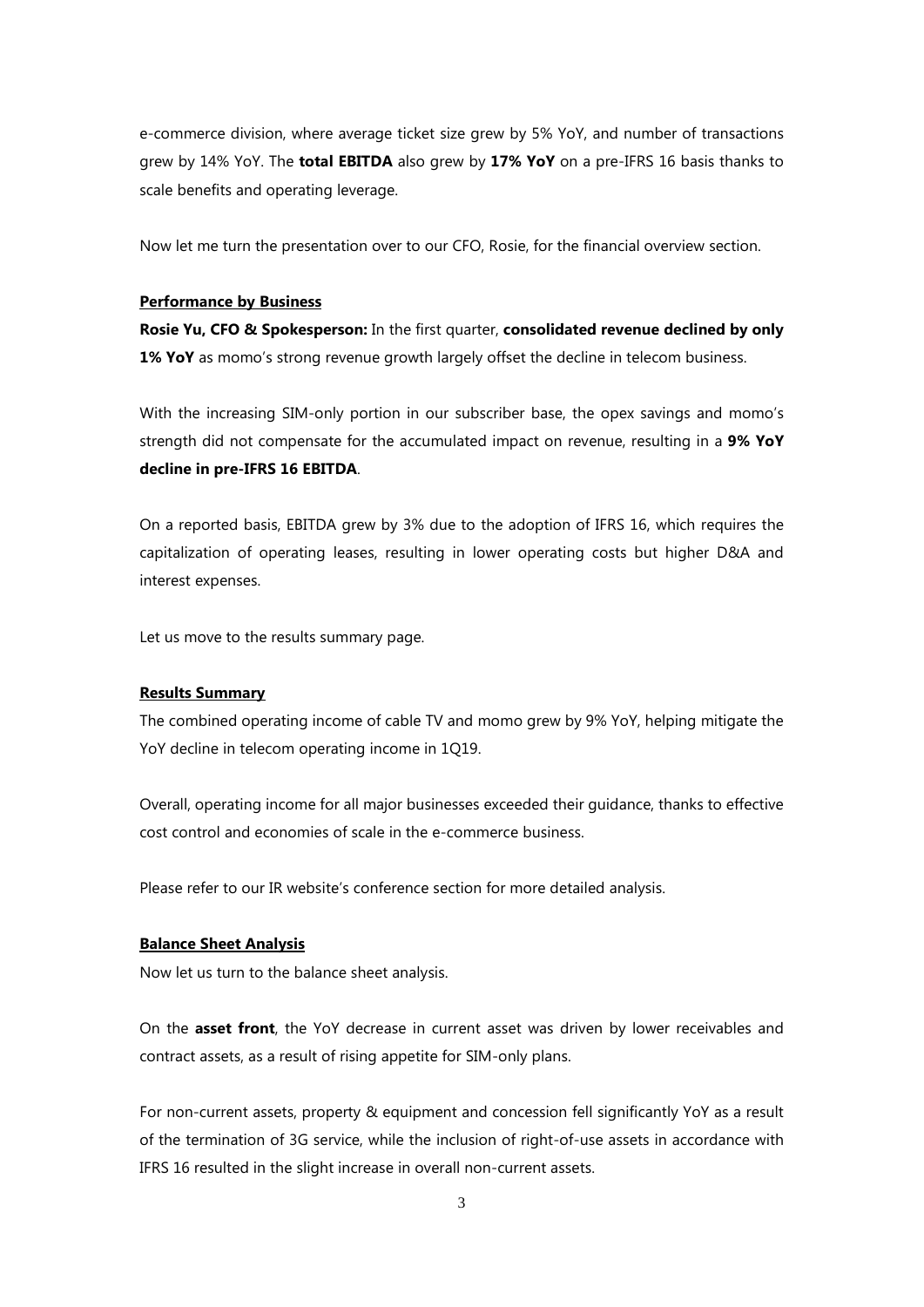e-commerce division, where average ticket size grew by 5% YoY, and number of transactions grew by 14% YoY. The **total EBITDA** also grew by **17% YoY** on a pre-IFRS 16 basis thanks to scale benefits and operating leverage.

Now let me turn the presentation over to our CFO, Rosie, for the financial overview section.

#### **Performance by Business**

**Rosie Yu, CFO & Spokesperson:** In the first quarter, **consolidated revenue declined by only**  1% YoY as momo's strong revenue growth largely offset the decline in telecom business.

With the increasing SIM-only portion in our subscriber base, the opex savings and momo's strength did not compensate for the accumulated impact on revenue, resulting in a **9% YoY decline in pre-IFRS 16 EBITDA**.

On a reported basis, EBITDA grew by 3% due to the adoption of IFRS 16, which requires the capitalization of operating leases, resulting in lower operating costs but higher D&A and interest expenses.

Let us move to the results summary page.

## **Results Summary**

The combined operating income of cable TV and momo grew by 9% YoY, helping mitigate the YoY decline in telecom operating income in 1Q19.

Overall, operating income for all major businesses exceeded their guidance, thanks to effective cost control and economies of scale in the e-commerce business.

Please refer to our IR website's conference section for more detailed analysis.

### **Balance Sheet Analysis**

Now let us turn to the balance sheet analysis.

On the **asset front**, the YoY decrease in current asset was driven by lower receivables and contract assets, as a result of rising appetite for SIM-only plans.

For non-current assets, property & equipment and concession fell significantly YoY as a result of the termination of 3G service, while the inclusion of right-of-use assets in accordance with IFRS 16 resulted in the slight increase in overall non-current assets.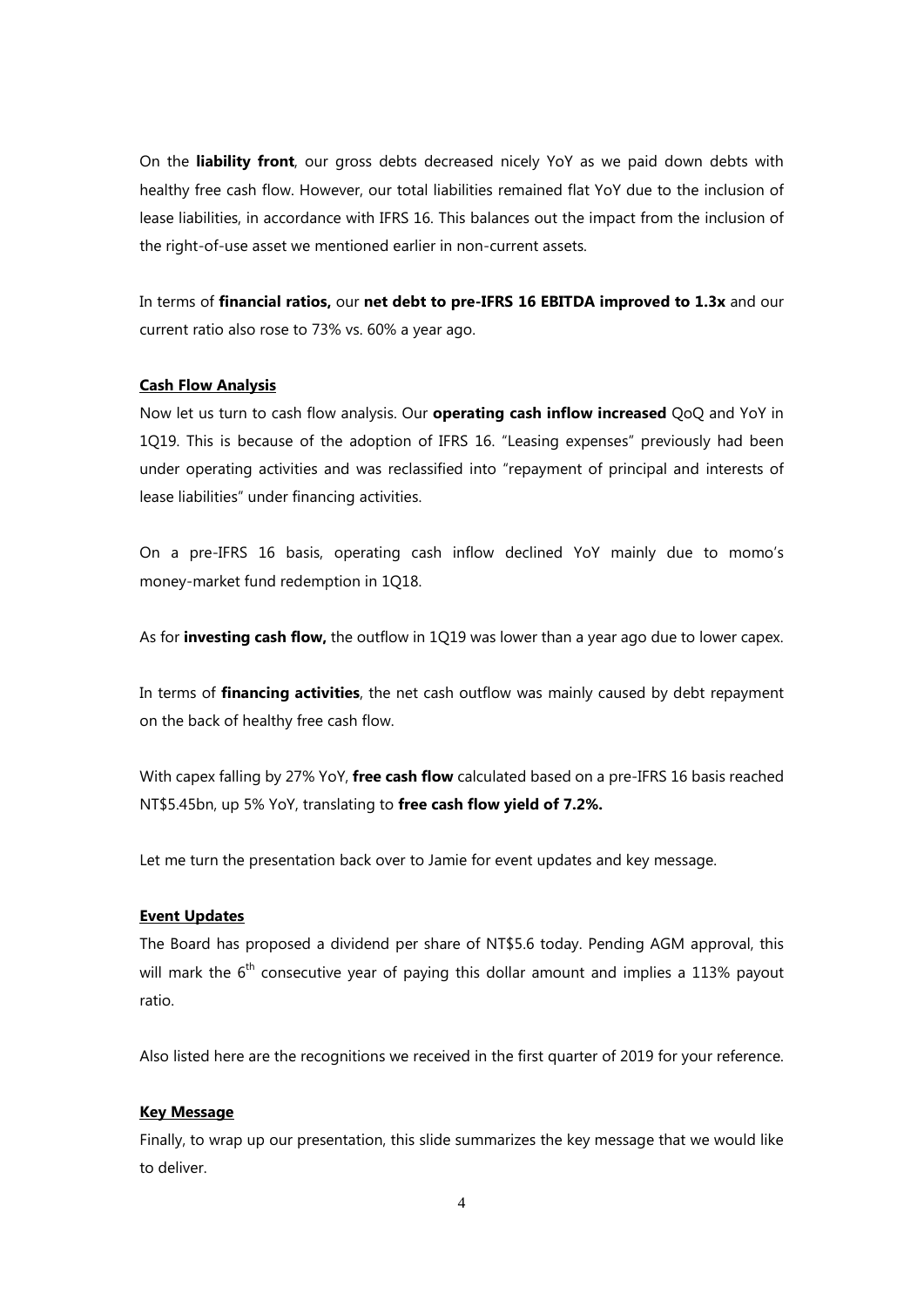On the **liability front**, our gross debts decreased nicely YoY as we paid down debts with healthy free cash flow. However, our total liabilities remained flat YoY due to the inclusion of lease liabilities, in accordance with IFRS 16. This balances out the impact from the inclusion of the right-of-use asset we mentioned earlier in non-current assets.

In terms of **financial ratios,** our **net debt to pre-IFRS 16 EBITDA improved to 1.3x** and our current ratio also rose to 73% vs. 60% a year ago.

### **Cash Flow Analysis**

Now let us turn to cash flow analysis. Our **operating cash inflow increased** QoQ and YoY in 1Q19. This is because of the adoption of IFRS 16. "Leasing expenses" previously had been under operating activities and was reclassified into "repayment of principal and interests of lease liabilities" under financing activities.

On a pre-IFRS 16 basis, operating cash inflow declined YoY mainly due to momo's money-market fund redemption in 1Q18.

As for **investing cash flow,** the outflow in 1Q19 was lower than a year ago due to lower capex.

In terms of **financing activities**, the net cash outflow was mainly caused by debt repayment on the back of healthy free cash flow.

With capex falling by 27% YoY, **free cash flow** calculated based on a pre-IFRS 16 basis reached NT\$5.45bn, up 5% YoY, translating to **free cash flow yield of 7.2%.**

Let me turn the presentation back over to Jamie for event updates and key message.

## **Event Updates**

The Board has proposed a dividend per share of NT\$5.6 today. Pending AGM approval, this will mark the  $6<sup>th</sup>$  consecutive year of paying this dollar amount and implies a 113% payout ratio.

Also listed here are the recognitions we received in the first quarter of 2019 for your reference.

#### **Key Message**

Finally, to wrap up our presentation, this slide summarizes the key message that we would like to deliver.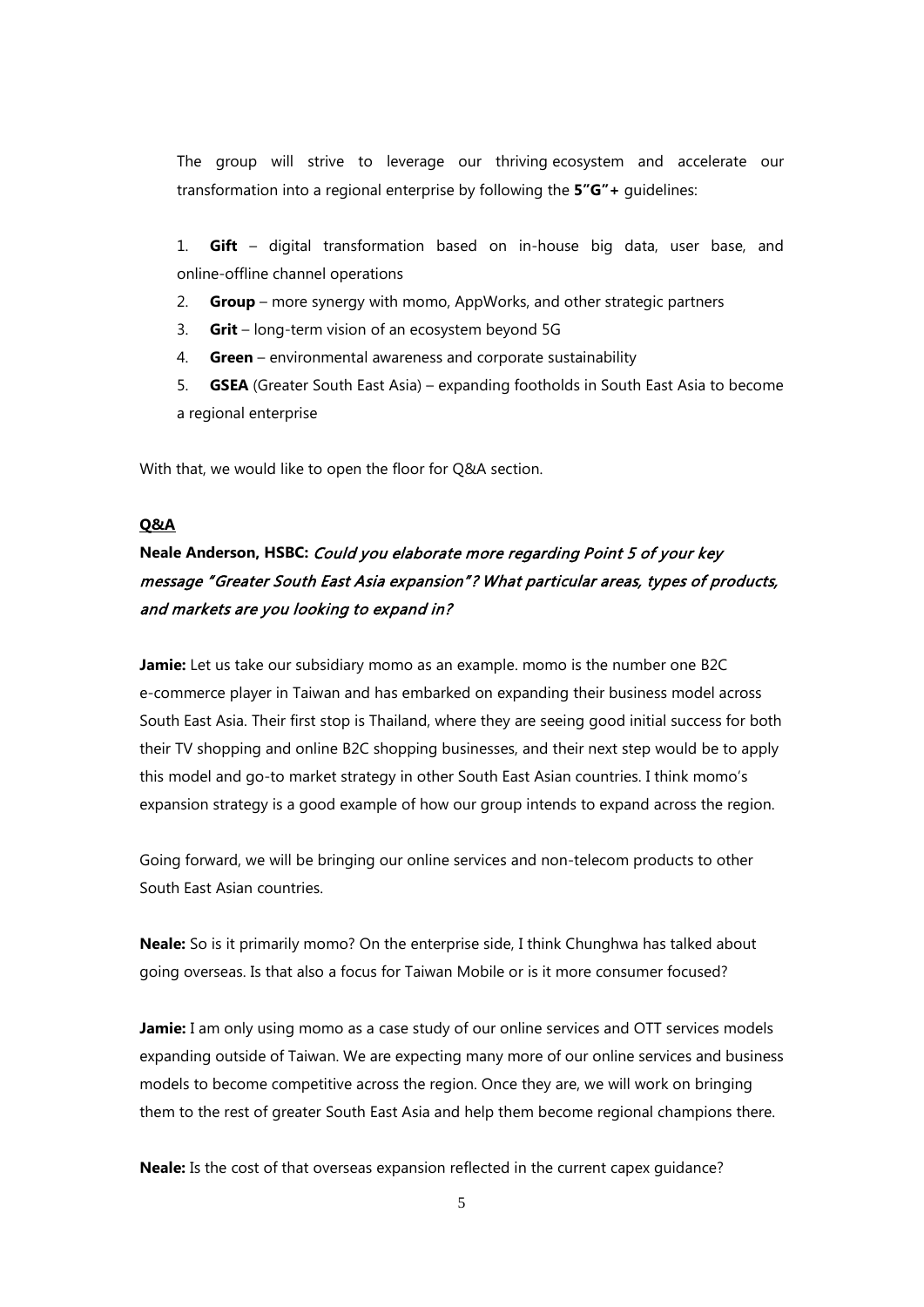The group will strive to leverage our thriving ecosystem and accelerate our transformation into a regional enterprise by following the **5"G"+** guidelines:

1. **Gift** – digital transformation based on in-house big data, user base, and online-offline channel operations

- 2. **Group**  more synergy with momo, AppWorks, and other strategic partners
- 3. **Grit**  long-term vision of an ecosystem beyond 5G
- 4. **Green**  environmental awareness and corporate sustainability
- 5. **GSEA** (Greater South East Asia) expanding footholds in South East Asia to become a regional enterprise

With that, we would like to open the floor for Q&A section.

## **Q&A**

# **Neale Anderson, HSBC:** Could you elaborate more regarding Point 5 of your key message "Greater South East Asia expansion"? What particular areas, types of products, and markets are you looking to expand in?

Jamie: Let us take our subsidiary momo as an example. momo is the number one B2C e-commerce player in Taiwan and has embarked on expanding their business model across South East Asia. Their first stop is Thailand, where they are seeing good initial success for both their TV shopping and online B2C shopping businesses, and their next step would be to apply this model and go-to market strategy in other South East Asian countries. I think momo's expansion strategy is a good example of how our group intends to expand across the region.

Going forward, we will be bringing our online services and non-telecom products to other South East Asian countries.

**Neale:** So is it primarily momo? On the enterprise side, I think Chunghwa has talked about going overseas. Is that also a focus for Taiwan Mobile or is it more consumer focused?

**Jamie:** I am only using momo as a case study of our online services and OTT services models expanding outside of Taiwan. We are expecting many more of our online services and business models to become competitive across the region. Once they are, we will work on bringing them to the rest of greater South East Asia and help them become regional champions there.

**Neale:** Is the cost of that overseas expansion reflected in the current capex guidance?